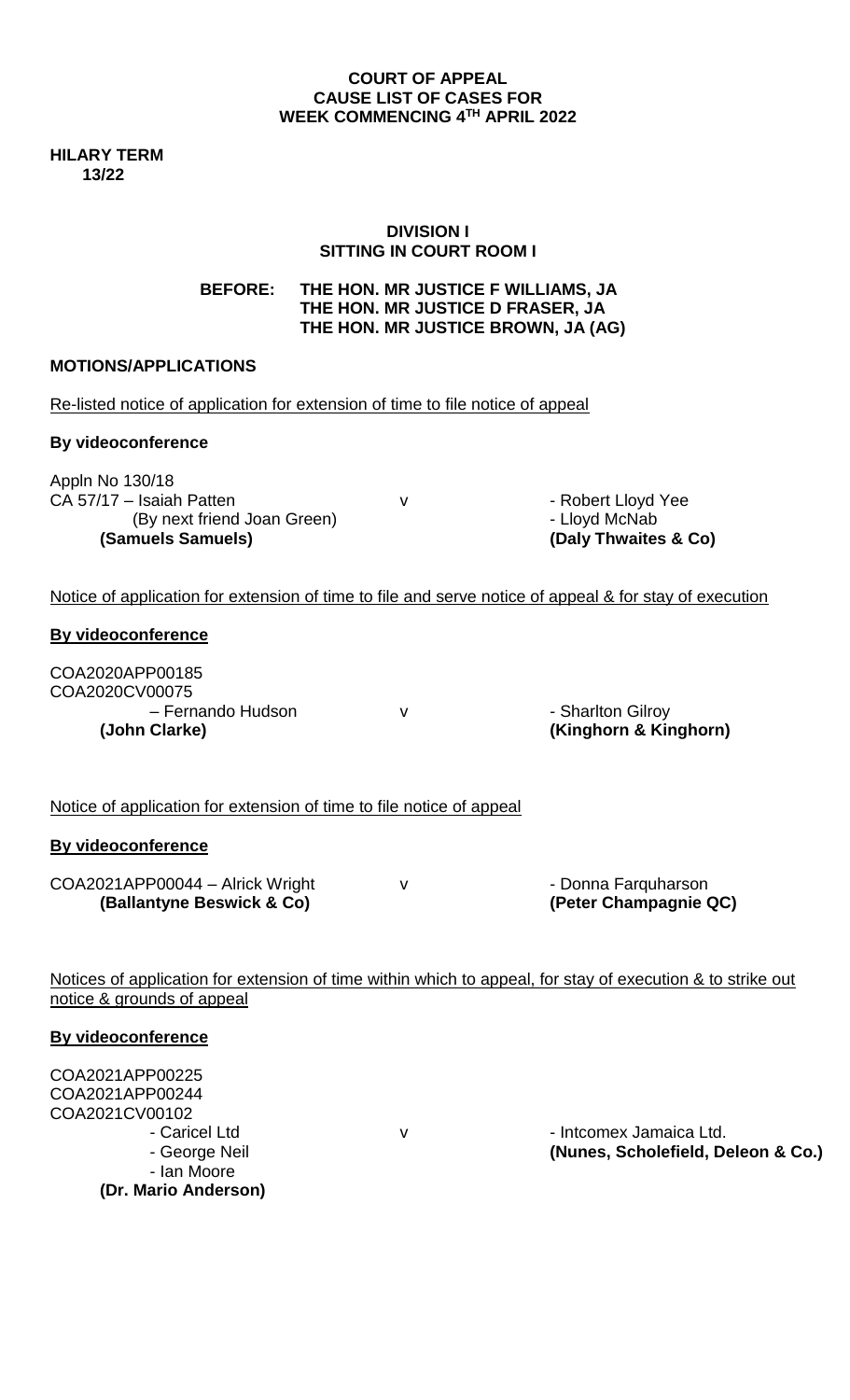### **COURT OF APPEAL CAUSE LIST OF CASES FOR WEEK COMMENCING 4 TH APRIL 2022**

**HILARY TERM 13/22**

# **DIVISION I SITTING IN COURT ROOM I**

**BEFORE: THE HON. MR JUSTICE F WILLIAMS, JA THE HON. MR JUSTICE D FRASER, JA THE HON. MR JUSTICE BROWN, JA (AG)**

# **MOTIONS/APPLICATIONS**

- Ian Moore **(Dr. Mario Anderson)** 

| Notice of application for extension of time to file and serve notice of appeal & for stay of execution     |
|------------------------------------------------------------------------------------------------------------|
|                                                                                                            |
| (Kinghorn & Kinghorn)                                                                                      |
|                                                                                                            |
|                                                                                                            |
| (Peter Champagnie QC)                                                                                      |
| Notices of application for extension of time within which to appeal, for stay of execution & to strike out |
|                                                                                                            |
| - Intcomex Jamaica Ltd.<br>(Nunes, Scholefield, Deleon & Co.)                                              |
|                                                                                                            |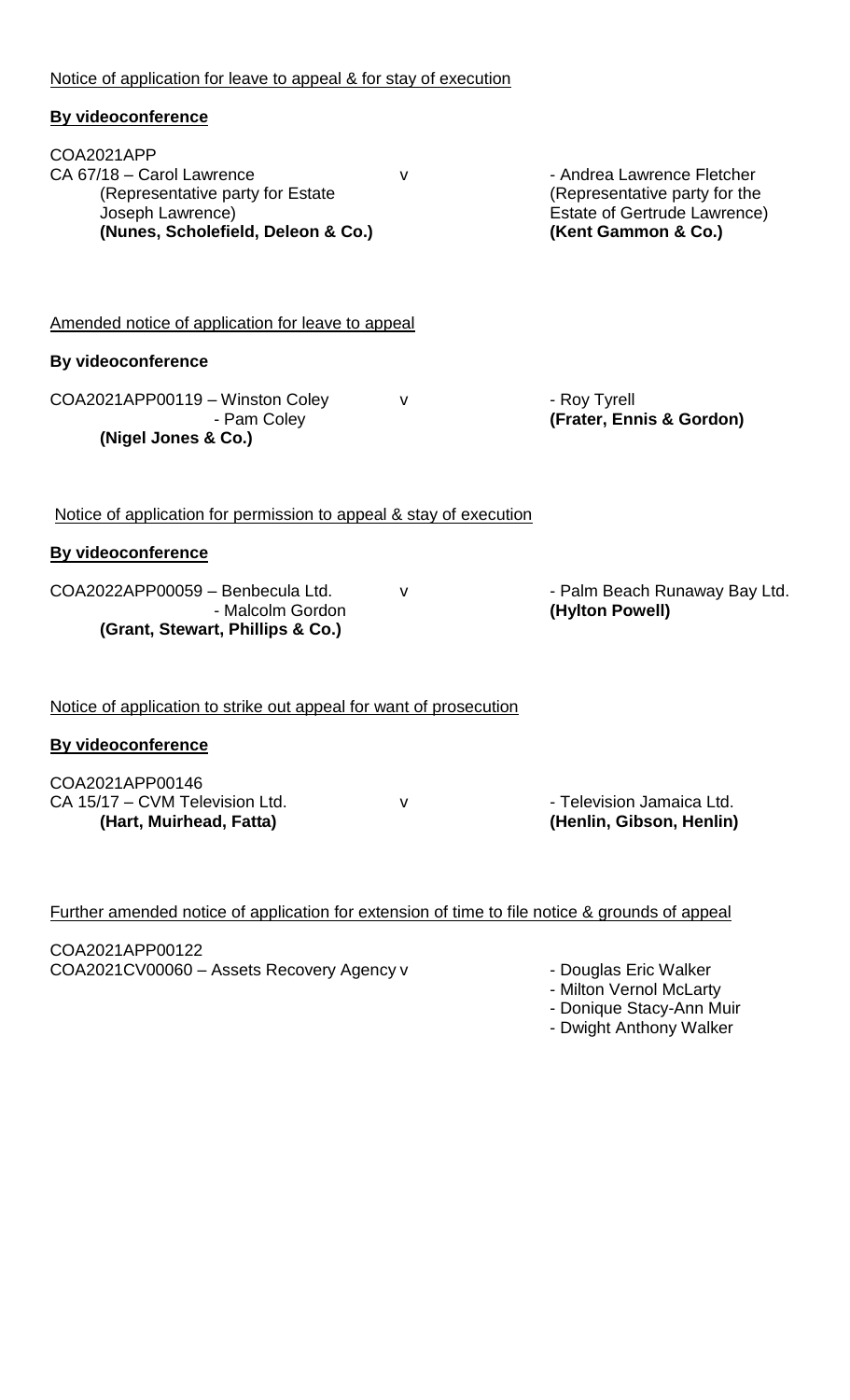| <b>By videoconference</b>                                                                                                             |              |                                                                                                                           |
|---------------------------------------------------------------------------------------------------------------------------------------|--------------|---------------------------------------------------------------------------------------------------------------------------|
| COA2021APP<br>CA 67/18 - Carol Lawrence<br>(Representative party for Estate<br>Joseph Lawrence)<br>(Nunes, Scholefield, Deleon & Co.) | v            | - Andrea Lawrence Fletcher<br>(Representative party for the<br><b>Estate of Gertrude Lawrence)</b><br>(Kent Gammon & Co.) |
| Amended notice of application for leave to appeal                                                                                     |              |                                                                                                                           |
| <b>By videoconference</b>                                                                                                             |              |                                                                                                                           |
| COA2021APP00119 - Winston Coley<br>- Pam Coley<br>(Nigel Jones & Co.)                                                                 | v            | - Roy Tyrell<br>(Frater, Ennis & Gordon)                                                                                  |
| Notice of application for permission to appeal & stay of execution                                                                    |              |                                                                                                                           |
| <b>By videoconference</b>                                                                                                             |              |                                                                                                                           |
| COA2022APP00059 - Benbecula Ltd.<br>- Malcolm Gordon<br>(Grant, Stewart, Phillips & Co.)                                              | ۷            | - Palm Beach Runaway Bay Ltd.<br>(Hylton Powell)                                                                          |
| Notice of application to strike out appeal for want of prosecution                                                                    |              |                                                                                                                           |
| <b>By videoconference</b>                                                                                                             |              |                                                                                                                           |
| COA2021APP00146<br>CA 15/17 - CVM Television Ltd.<br>(Hart, Muirhead, Fatta)                                                          | $\mathsf{V}$ | - Television Jamaica Ltd.<br>(Henlin, Gibson, Henlin)                                                                     |
| Further amended notice of application for extension of time to file notice & grounds of appeal                                        |              |                                                                                                                           |

COA2021APP00122 COA2021CV00060 – Assets Recovery Agency v

Notice of application for leave to appeal & for stay of execution

- Milton Vernol McLarty

- Donique Stacy-Ann Muir

- Dwight Anthony Walker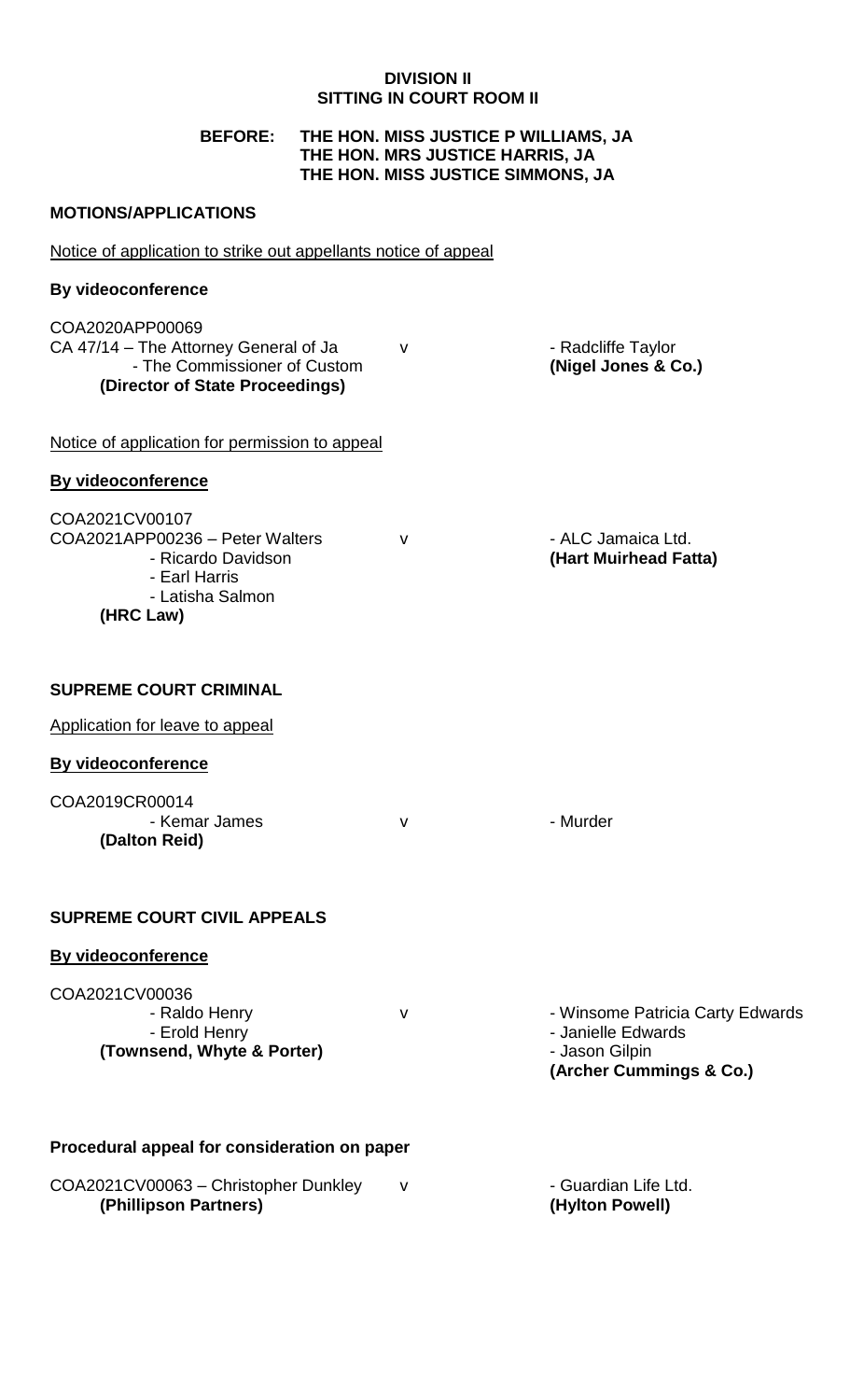# **DIVISION II SITTING IN COURT ROOM II**

# **BEFORE: THE HON. MISS JUSTICE P WILLIAMS, JA THE HON. MRS JUSTICE HARRIS, JA THE HON. MISS JUSTICE SIMMONS, JA**

# **MOTIONS/APPLICATIONS**

| Notice of application to strike out appellants notice of appeal                                                             |              |                                                                                                     |  |  |
|-----------------------------------------------------------------------------------------------------------------------------|--------------|-----------------------------------------------------------------------------------------------------|--|--|
| <b>By videoconference</b>                                                                                                   |              |                                                                                                     |  |  |
| COA2020APP00069<br>CA 47/14 - The Attorney General of Ja<br>- The Commissioner of Custom<br>(Director of State Proceedings) | $\mathsf{v}$ | - Radcliffe Taylor<br>(Nigel Jones & Co.)                                                           |  |  |
| Notice of application for permission to appeal                                                                              |              |                                                                                                     |  |  |
| <b>By videoconference</b>                                                                                                   |              |                                                                                                     |  |  |
| COA2021CV00107<br>COA2021APP00236 - Peter Walters<br>- Ricardo Davidson<br>- Earl Harris<br>- Latisha Salmon<br>(HRC Law)   | $\mathsf{V}$ | - ALC Jamaica Ltd.<br>(Hart Muirhead Fatta)                                                         |  |  |
| <b>SUPREME COURT CRIMINAL</b>                                                                                               |              |                                                                                                     |  |  |
| Application for leave to appeal                                                                                             |              |                                                                                                     |  |  |
| <b>By videoconference</b>                                                                                                   |              |                                                                                                     |  |  |
| COA2019CR00014<br>- Kemar James<br>(Dalton Reid)                                                                            | $\mathsf{v}$ | - Murder                                                                                            |  |  |
| <b>SUPREME COURT CIVIL APPEALS</b>                                                                                          |              |                                                                                                     |  |  |
| By videoconference                                                                                                          |              |                                                                                                     |  |  |
| COA2021CV00036<br>- Raldo Henry<br>- Erold Henry<br>(Townsend, Whyte & Porter)                                              | $\mathsf{V}$ | - Winsome Patricia Carty Edwards<br>- Janielle Edwards<br>- Jason Gilpin<br>(Archer Cummings & Co.) |  |  |
| Procedural appeal for consideration on paper                                                                                |              |                                                                                                     |  |  |
| COA2021CV00063 - Christopher Dunkley<br>(Phillipson Partners)                                                               | v            | - Guardian Life Ltd.<br>(Hylton Powell)                                                             |  |  |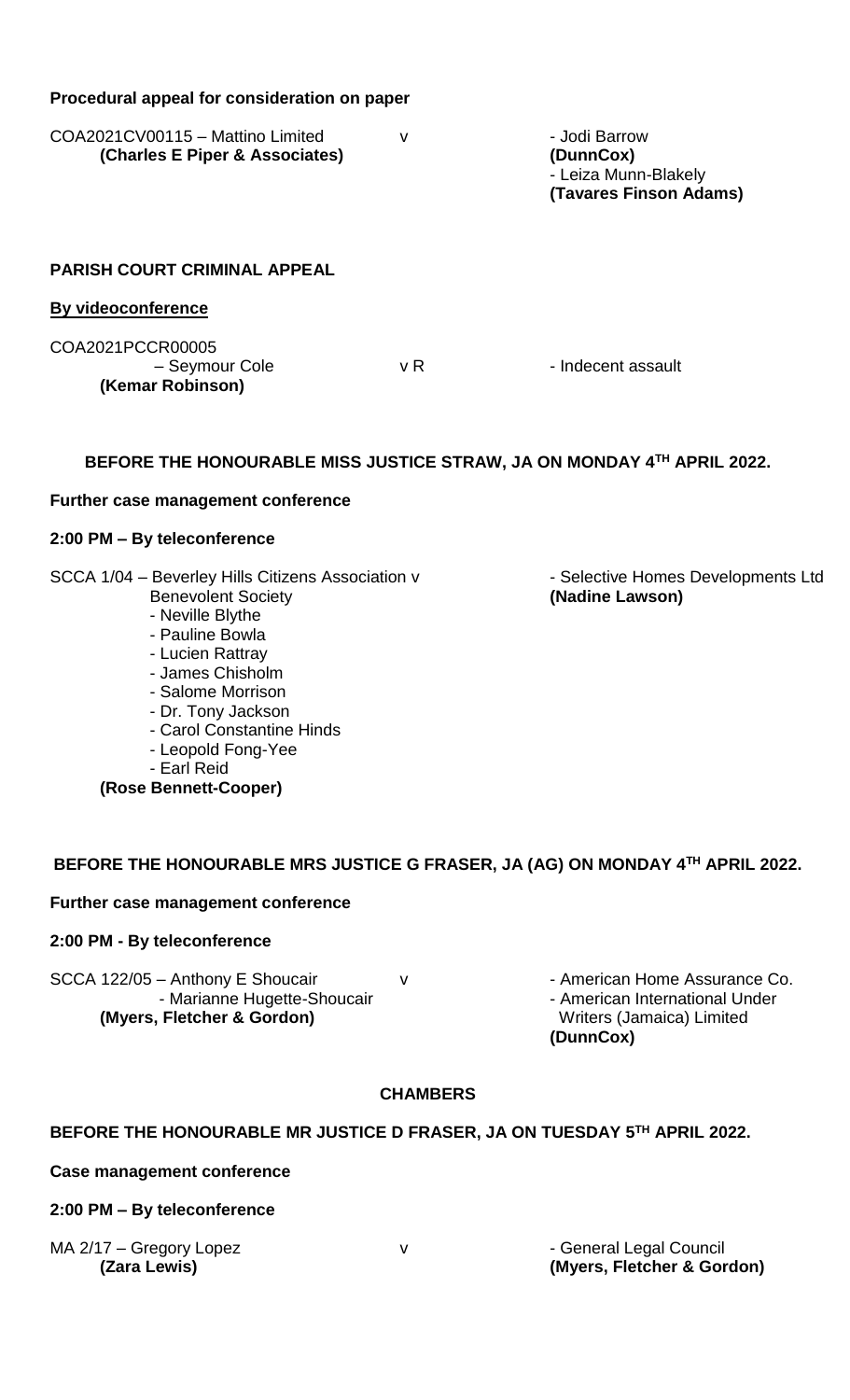| Procedural appeal for consideration on paper                                                                                                                                                                                                                                                        |              |                                                                                                           |  |  |  |
|-----------------------------------------------------------------------------------------------------------------------------------------------------------------------------------------------------------------------------------------------------------------------------------------------------|--------------|-----------------------------------------------------------------------------------------------------------|--|--|--|
| COA2021CV00115 - Mattino Limited<br>(Charles E Piper & Associates)                                                                                                                                                                                                                                  | $\mathsf{V}$ | - Jodi Barrow<br>(DunnCox)<br>- Leiza Munn-Blakely<br>(Tavares Finson Adams)                              |  |  |  |
| <b>PARISH COURT CRIMINAL APPEAL</b>                                                                                                                                                                                                                                                                 |              |                                                                                                           |  |  |  |
| <b>By videoconference</b>                                                                                                                                                                                                                                                                           |              |                                                                                                           |  |  |  |
| COA2021PCCR00005<br>- Seymour Cole<br>(Kemar Robinson)                                                                                                                                                                                                                                              | v R          | - Indecent assault                                                                                        |  |  |  |
| BEFORE THE HONOURABLE MISS JUSTICE STRAW, JA ON MONDAY 4TH APRIL 2022.                                                                                                                                                                                                                              |              |                                                                                                           |  |  |  |
| Further case management conference                                                                                                                                                                                                                                                                  |              |                                                                                                           |  |  |  |
| 2:00 PM - By teleconference                                                                                                                                                                                                                                                                         |              |                                                                                                           |  |  |  |
| SCCA 1/04 - Beverley Hills Citizens Association v<br><b>Benevolent Society</b><br>- Neville Blythe<br>- Pauline Bowla<br>- Lucien Rattray<br>- James Chisholm<br>- Salome Morrison<br>- Dr. Tony Jackson<br>- Carol Constantine Hinds<br>- Leopold Fong-Yee<br>- Earl Reid<br>(Rose Bennett-Cooper) |              | - Selective Homes Developments Ltd<br>(Nadine Lawson)                                                     |  |  |  |
| BEFORE THE HONOURABLE MRS JUSTICE G FRASER, JA (AG) ON MONDAY 4TH APRIL 2022.                                                                                                                                                                                                                       |              |                                                                                                           |  |  |  |
| Further case management conference                                                                                                                                                                                                                                                                  |              |                                                                                                           |  |  |  |
| 2:00 PM - By teleconference                                                                                                                                                                                                                                                                         |              |                                                                                                           |  |  |  |
| SCCA 122/05 - Anthony E Shoucair<br>- Marianne Hugette-Shoucair<br>(Myers, Fletcher & Gordon)                                                                                                                                                                                                       | v            | - American Home Assurance Co.<br>- American International Under<br>Writers (Jamaica) Limited<br>(DunnCox) |  |  |  |
| <b>CHAMBERS</b>                                                                                                                                                                                                                                                                                     |              |                                                                                                           |  |  |  |
| BEFORE THE HONOURABLE MR JUSTICE D FRASER, JA ON TUESDAY 5TH APRIL 2022.                                                                                                                                                                                                                            |              |                                                                                                           |  |  |  |
| <b>Case management conference</b>                                                                                                                                                                                                                                                                   |              |                                                                                                           |  |  |  |

# **2:00 PM – By teleconference**

MA 2/17 – Gregory Lopez v - General Legal Council

**(Zara Lewis) (Myers, Fletcher & Gordon)**